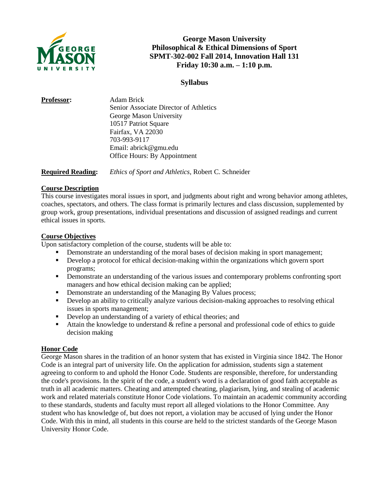

## **George Mason University Philosophical & Ethical Dimensions of Sport SPMT-302-002 Fall 2014, Innovation Hall 131 Friday 10:30 a.m. – 1:10 p.m.**

## **Syllabus**

| Senior Associate Director of Athletics |  |
|----------------------------------------|--|
|                                        |  |
| George Mason University                |  |
| 10517 Patriot Square                   |  |
| Fairfax, VA 22030                      |  |
| 703-993-9117                           |  |
| Email: abrick@gmu.edu                  |  |
| Office Hours: By Appointment           |  |
|                                        |  |

**Required Reading:** *Ethics of Sport and Athletics,* Robert C. Schneider

## **Course Description**

This course investigates moral issues in sport, and judgments about right and wrong behavior among athletes, coaches, spectators, and others. The class format is primarily lectures and class discussion, supplemented by group work, group presentations, individual presentations and discussion of assigned readings and current ethical issues in sports.

## **Course Objectives**

Upon satisfactory completion of the course, students will be able to:

- Demonstrate an understanding of the moral bases of decision making in sport management;
- Develop a protocol for ethical decision-making within the organizations which govern sport programs;
- **•** Demonstrate an understanding of the various issues and contemporary problems confronting sport managers and how ethical decision making can be applied;
- Demonstrate an understanding of the Managing By Values process;
- Develop an ability to critically analyze various decision-making approaches to resolving ethical issues in sports management;
- Develop an understanding of a variety of ethical theories; and
- Attain the knowledge to understand & refine a personal and professional code of ethics to guide decision making

#### **Honor Code**

George Mason shares in the tradition of an honor system that has existed in Virginia since 1842. The Honor Code is an integral part of university life. On the application for admission, students sign a statement agreeing to conform to and uphold the Honor Code. Students are responsible, therefore, for understanding the code's provisions. In the spirit of the code, a student's word is a declaration of good faith acceptable as truth in all academic matters. Cheating and attempted cheating, plagiarism, lying, and stealing of academic work and related materials constitute Honor Code violations. To maintain an academic community according to these standards, students and faculty must report all alleged violations to the Honor Committee. Any student who has knowledge of, but does not report, a violation may be accused of lying under the Honor Code. With this in mind, all students in this course are held to the strictest standards of the George Mason University Honor Code.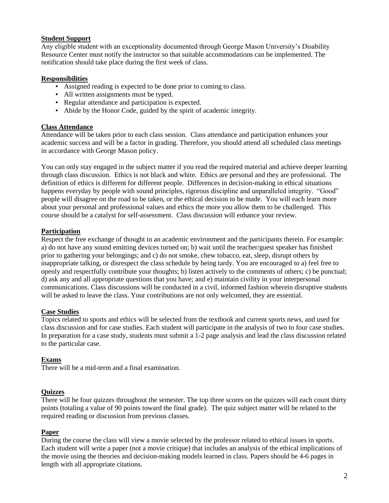## **Student Support**

Any eligible student with an exceptionality documented through George Mason University's Disability Resource Center must notify the instructor so that suitable accommodations can be implemented. The notification should take place during the first week of class.

## **Responsibilities**

- Assigned reading is expected to be done prior to coming to class.
- All written assignments must be typed.
- Regular attendance and participation is expected.
- Abide by the Honor Code, guided by the spirit of academic integrity.

#### **Class Attendance**

Attendance will be taken prior to each class session.Class attendance and participation enhances your academic success and will be a factor in grading. Therefore, you should attend all scheduled class meetings in accordance with George Mason policy.

You can only stay engaged in the subject matter if you read the required material and achieve deeper learning through class discussion. Ethics is not black and white. Ethics are personal and they are professional. The definition of ethics is different for different people. Differences in decision-making in ethical situations happens everyday by people with sound principles, rigorous discipline and unparalleled integrity. "Good" people will disagree on the road to be taken, or the ethical decision to be made. You will each learn more about your personal and professional values and ethics the more you allow them to be challenged. This course should be a catalyst for self-assessment. Class discussion will enhance your review.

## **Participation**

Respect the free exchange of thought in an academic environment and the participants therein. For example: a) do not have any sound emitting devices turned on; b) wait until the teacher/guest speaker has finished prior to gathering your belongings; and c) do not smoke, chew tobacco, eat, sleep, disrupt others by inappropriate talking, or disrespect the class schedule by being tardy. You are encouraged to a) feel free to openly and respectfully contribute your thoughts; b) listen actively to the comments of others; c) be punctual; d) ask any and all appropriate questions that you have; and e) maintain civility in your interpersonal communications. Class discussions will be conducted in a civil, informed fashion wherein disruptive students will be asked to leave the class. Your contributions are not only welcomed, they are essential.

#### **Case Studies**

Topics related to sports and ethics will be selected from the textbook and current sports news, and used for class discussion and for case studies. Each student will participate in the analysis of two to four case studies. In preparation for a case study, students must submit a 1-2 page analysis and lead the class discussion related to the particular case.

#### **Exams**

There will be a mid-term and a final examination.

#### **Quizzes**

There will be four quizzes throughout the semester. The top three scores on the quizzes will each count thirty points (totaling a value of 90 points toward the final grade). The quiz subject matter will be related to the required reading or discussion from previous classes.

#### **Paper**

During the course the class will view a movie selected by the professor related to ethical issues in sports. Each student will write a paper (not a movie critique) that includes an analysis of the ethical implications of the movie using the theories and decision-making models learned in class. Papers should be 4-6 pages in length with all appropriate citations.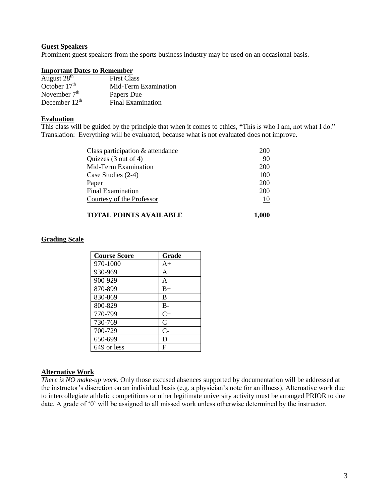#### **Guest Speakers**

Prominent guest speakers from the sports business industry may be used on an occasional basis.

#### **Important Dates to Remember**

| August 28 <sup>th</sup> | <b>First Class</b>       |
|-------------------------|--------------------------|
| October $17th$          | Mid-Term Examination     |
| November $7th$          | Papers Due               |
| December $12th$         | <b>Final Examination</b> |

### **Evaluation**

This class will be guided by the principle that when it comes to ethics, **"**This is who I am, not what I do." Translation: Everything will be evaluated, because what is not evaluated does not improve.

| Class participation $\&$ attendance | 200 |
|-------------------------------------|-----|
| Quizzes (3 out of 4)                | 90  |
| Mid-Term Examination                | 200 |
| Case Studies (2-4)                  | 100 |
| Paper                               | 200 |
| Final Examination                   | 200 |
| Courtesy of the Professor           | 10  |
|                                     |     |

### **TOTAL POINTS AVAILABLE** 1,000

#### **Grading Scale**

| <b>Course Score</b> | Grade |
|---------------------|-------|
| 970-1000            | $A+$  |
| 930-969             | A     |
| 900-929             | $A -$ |
| 870-899             | $B+$  |
| 830-869             | B     |
| 800-829             | $B -$ |
| 770-799             | $C+$  |
| 730-769             | C     |
| 700-729             | $C-$  |
| 650-699             | D     |
| 649 or less         | F     |

#### **Alternative Work**

*There is NO make-up work.* Only those excused absences supported by documentation will be addressed at the instructor's discretion on an individual basis (e.g. a physician's note for an illness). Alternative work due to intercollegiate athletic competitions or other legitimate university activity must be arranged PRIOR to due date. A grade of '0' will be assigned to all missed work unless otherwise determined by the instructor.